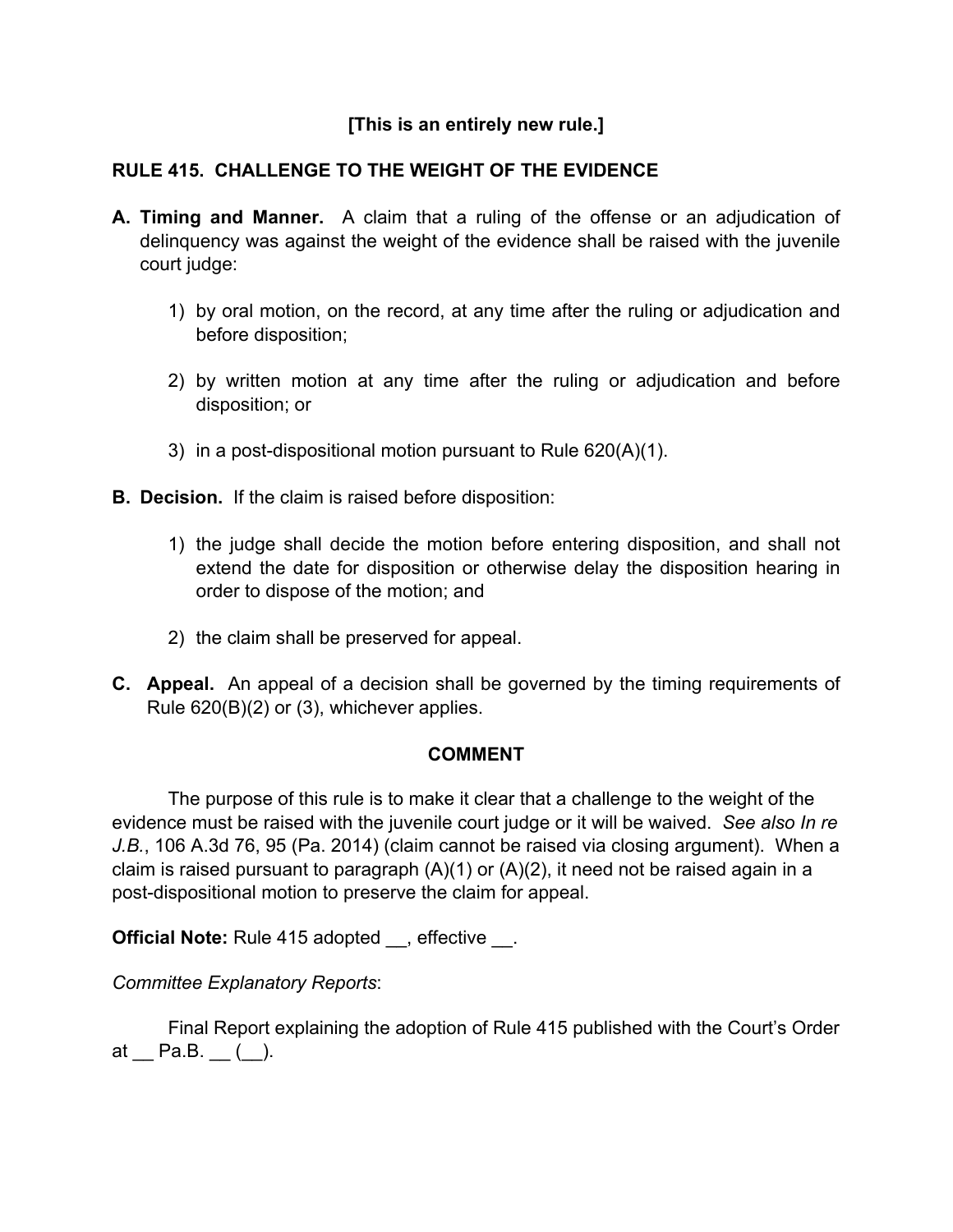# **[This is an entirely new rule.]**

# **RULE 415. CHALLENGE TO THE WEIGHT OF THE EVIDENCE**

- **A. Timing and Manner.** A claim that a ruling of the offense or an adjudication of delinquency was against the weight of the evidence shall be raised with the juvenile court judge:
	- 1) by oral motion, on the record, at any time after the ruling or adjudication and before disposition;
	- 2) by written motion at any time after the ruling or adjudication and before disposition; or
	- 3) in a post-dispositional motion pursuant to Rule 620(A)(1).
- **B. Decision.** If the claim is raised before disposition:
	- 1) the judge shall decide the motion before entering disposition, and shall not extend the date for disposition or otherwise delay the disposition hearing in order to dispose of the motion; and
	- 2) the claim shall be preserved for appeal.
- **C. Appeal.** An appeal of a decision shall be governed by the timing requirements of Rule 620(B)(2) or (3), whichever applies.

#### **COMMENT**

 The purpose of this rule is to make it clear that a challenge to the weight of the evidence must be raised with the juvenile court judge or it will be waived. *See also In re J.B.*, 106 A.3d 76, 95 (Pa. 2014) (claim cannot be raised via closing argument). When a claim is raised pursuant to paragraph  $(A)(1)$  or  $(A)(2)$ , it need not be raised again in a post-dispositional motion to preserve the claim for appeal.

**Official Note:** Rule 415 adopted , effective .

*Committee Explanatory Reports*:

 Final Report explaining the adoption of Rule 415 published with the Court's Order at  $\_$  Pa.B.  $\_$  ( $\_$ ).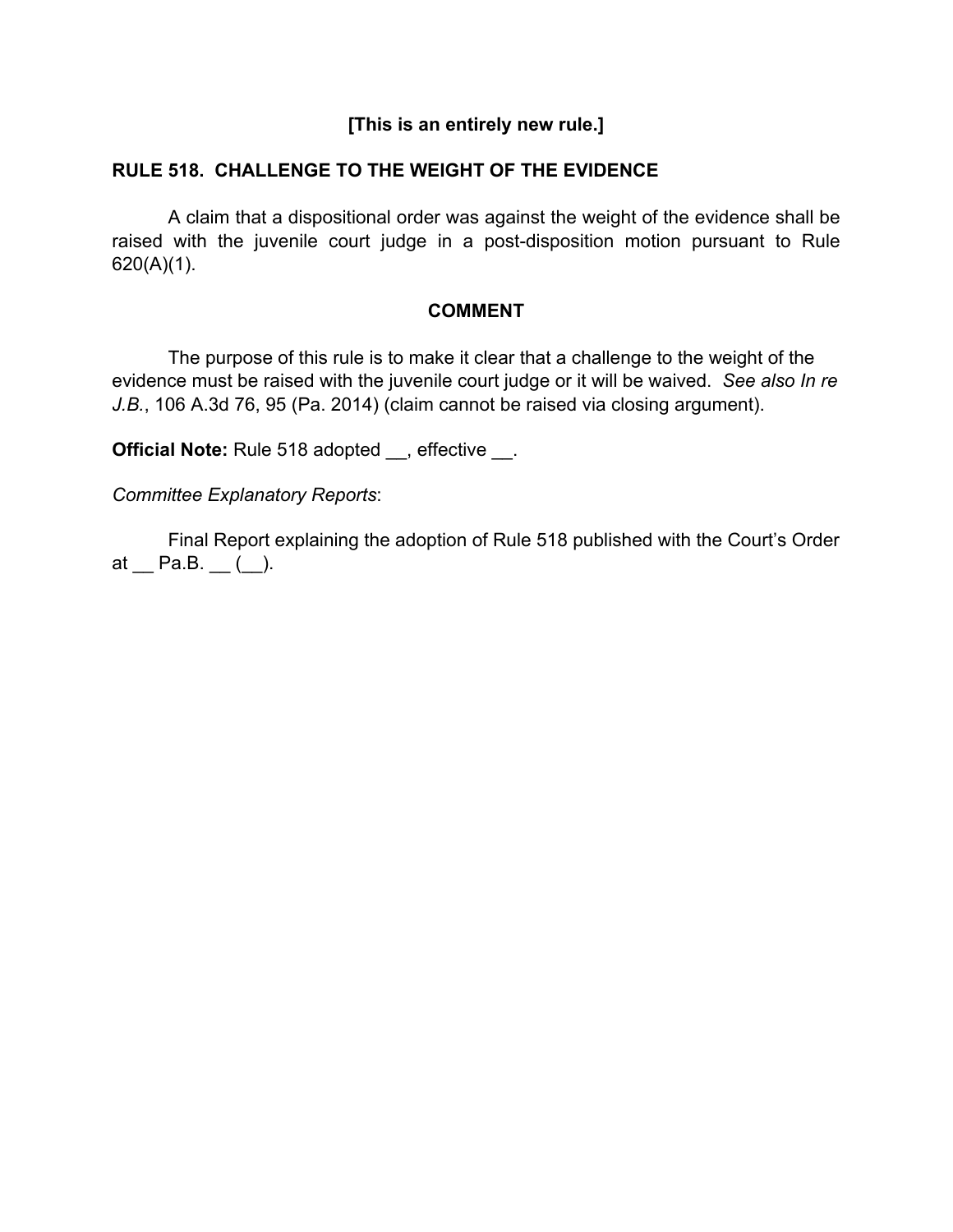# **[This is an entirely new rule.]**

#### **RULE 518. CHALLENGE TO THE WEIGHT OF THE EVIDENCE**

A claim that a dispositional order was against the weight of the evidence shall be raised with the juvenile court judge in a post-disposition motion pursuant to Rule 620(A)(1).

#### **COMMENT**

The purpose of this rule is to make it clear that a challenge to the weight of the evidence must be raised with the juvenile court judge or it will be waived. *See also In re J.B.*, 106 A.3d 76, 95 (Pa. 2014) (claim cannot be raised via closing argument).

**Official Note:** Rule 518 adopted , effective .

*Committee Explanatory Reports*:

 Final Report explaining the adoption of Rule 518 published with the Court's Order at  $\_$  Pa.B.  $\_$   $(.)$ .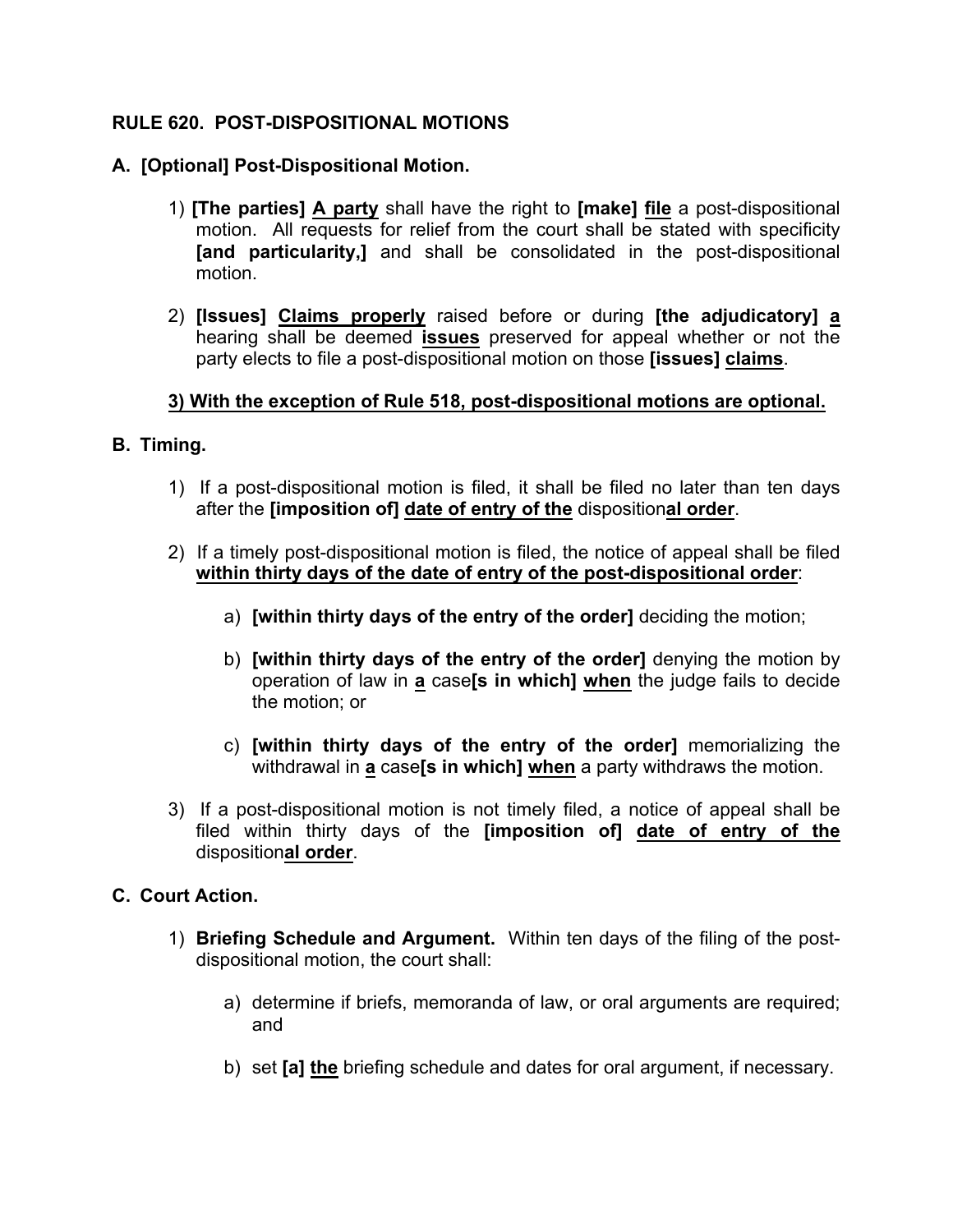### **RULE 620. POST-DISPOSITIONAL MOTIONS**

#### **A. [Optional] Post-Dispositional Motion.**

- 1) **[The parties] A party** shall have the right to **[make] file** a post-dispositional motion. All requests for relief from the court shall be stated with specificity **[and particularity,]** and shall be consolidated in the post-dispositional motion.
- 2) **[Issues] Claims properly** raised before or during **[the adjudicatory] a** hearing shall be deemed **issues** preserved for appeal whether or not the party elects to file a post-dispositional motion on those **[issues] claims**.

### **3) With the exception of Rule 518, post-dispositional motions are optional.**

- **B. Timing.**
	- 1) If a post-dispositional motion is filed, it shall be filed no later than ten days after the **[imposition of] date of entry of the** disposition**al order**.
	- 2) If a timely post-dispositional motion is filed, the notice of appeal shall be filed **within thirty days of the date of entry of the post-dispositional order**:
		- a) **[within thirty days of the entry of the order]** deciding the motion;
		- b) **[within thirty days of the entry of the order]** denying the motion by operation of law in **a** case**[s in which] when** the judge fails to decide the motion; or
		- c) **[within thirty days of the entry of the order]** memorializing the withdrawal in **a** case**[s in which] when** a party withdraws the motion.
	- 3) If a post-dispositional motion is not timely filed, a notice of appeal shall be filed within thirty days of the **[imposition of] date of entry of the** disposition**al order**.

#### **C. Court Action.**

- 1) **Briefing Schedule and Argument.** Within ten days of the filing of the postdispositional motion, the court shall:
	- a) determine if briefs, memoranda of law, or oral arguments are required; and
	- b) set **[a] the** briefing schedule and dates for oral argument, if necessary.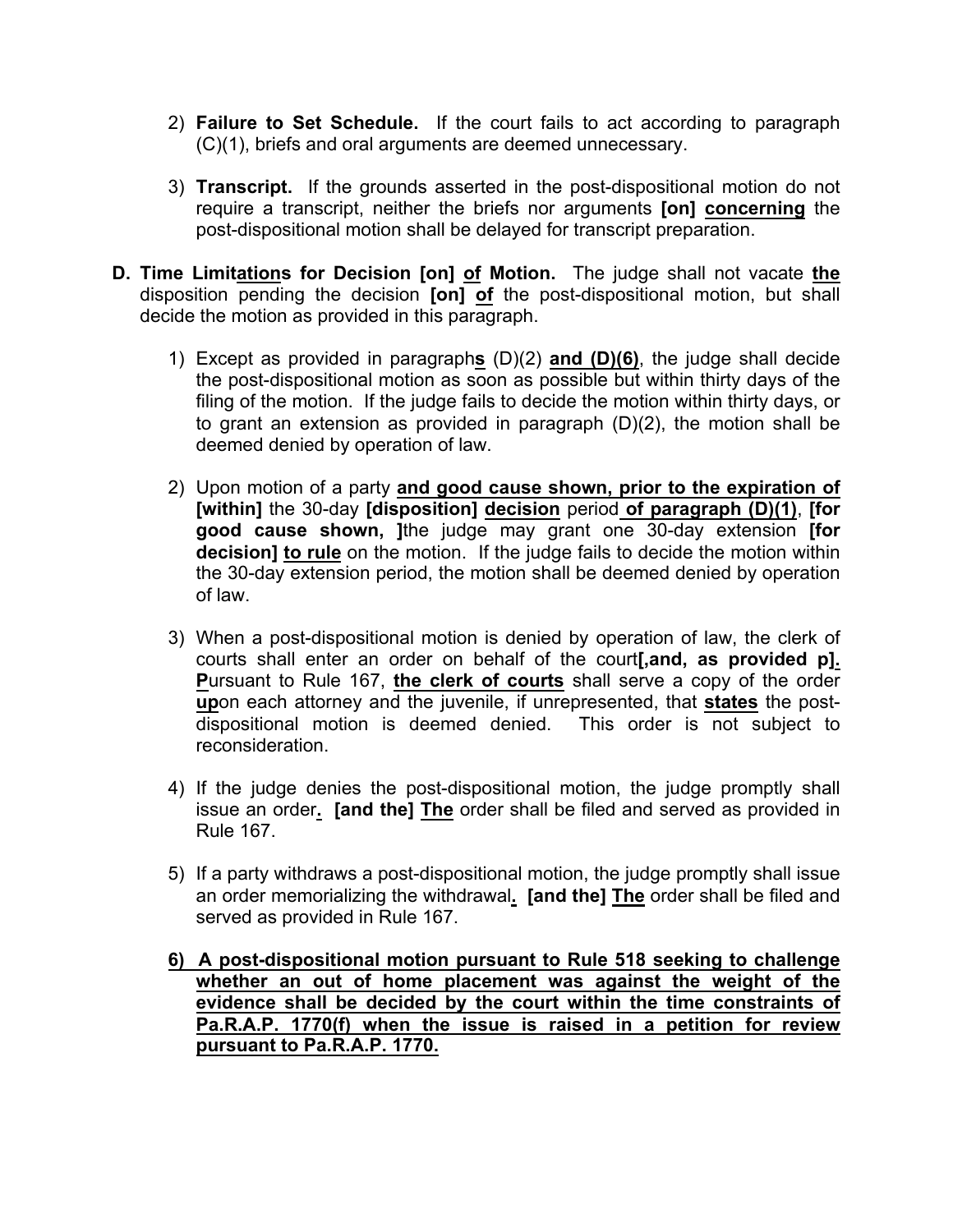- 2) **Failure to Set Schedule.** If the court fails to act according to paragraph (C)(1), briefs and oral arguments are deemed unnecessary.
- 3) **Transcript.** If the grounds asserted in the post-dispositional motion do not require a transcript, neither the briefs nor arguments **[on] concerning** the post-dispositional motion shall be delayed for transcript preparation.
- **D. Time Limitations for Decision [on] of Motion.** The judge shall not vacate **the** disposition pending the decision **[on] of** the post-dispositional motion, but shall decide the motion as provided in this paragraph.
	- 1) Except as provided in paragraph**s** (D)(2) **and (D)(6)**, the judge shall decide the post-dispositional motion as soon as possible but within thirty days of the filing of the motion. If the judge fails to decide the motion within thirty days, or to grant an extension as provided in paragraph (D)(2), the motion shall be deemed denied by operation of law.
	- 2) Upon motion of a party **and good cause shown, prior to the expiration of [within]** the 30-day **[disposition] decision** period **of paragraph (D)(1)**, **[for good cause shown, ]**the judge may grant one 30-day extension **[for decision] to rule** on the motion. If the judge fails to decide the motion within the 30-day extension period, the motion shall be deemed denied by operation of law.
	- 3) When a post-dispositional motion is denied by operation of law, the clerk of courts shall enter an order on behalf of the court**[,and, as provided p]. P**ursuant to Rule 167, **the clerk of courts** shall serve a copy of the order **up**on each attorney and the juvenile, if unrepresented, that **states** the postdispositional motion is deemed denied. This order is not subject to reconsideration.
	- 4) If the judge denies the post-dispositional motion, the judge promptly shall issue an order**. [and the] The** order shall be filed and served as provided in Rule 167.
	- 5) If a party withdraws a post-dispositional motion, the judge promptly shall issue an order memorializing the withdrawal**. [and the] The** order shall be filed and served as provided in Rule 167.
	- **6) A post-dispositional motion pursuant to Rule 518 seeking to challenge whether an out of home placement was against the weight of the evidence shall be decided by the court within the time constraints of Pa.R.A.P. 1770(f) when the issue is raised in a petition for review pursuant to Pa.R.A.P. 1770.**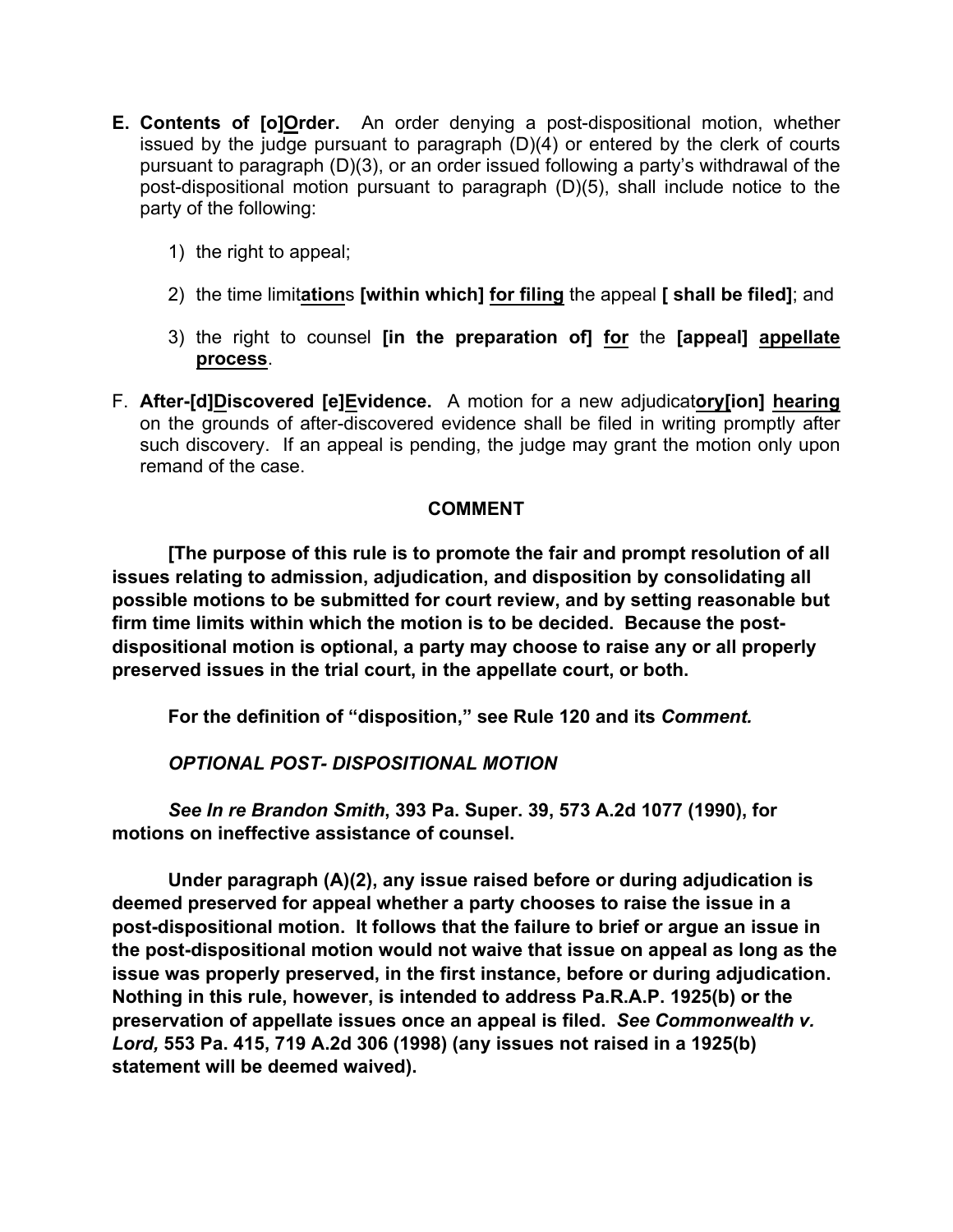- **E. Contents of [o]Order.** An order denying a post-dispositional motion, whether issued by the judge pursuant to paragraph (D)(4) or entered by the clerk of courts pursuant to paragraph (D)(3), or an order issued following a party's withdrawal of the post-dispositional motion pursuant to paragraph (D)(5), shall include notice to the party of the following:
	- 1) the right to appeal;
	- 2) the time limit**ation**s **[within which] for filing** the appeal **[ shall be filed]**; and
	- 3) the right to counsel **[in the preparation of] for** the **[appeal] appellate process**.
- F. **After-[d]Discovered [e]Evidence.** A motion for a new adjudicat**ory[ion] hearing**  on the grounds of after-discovered evidence shall be filed in writing promptly after such discovery. If an appeal is pending, the judge may grant the motion only upon remand of the case.

# **COMMENT**

**[The purpose of this rule is to promote the fair and prompt resolution of all issues relating to admission, adjudication, and disposition by consolidating all possible motions to be submitted for court review, and by setting reasonable but firm time limits within which the motion is to be decided. Because the postdispositional motion is optional, a party may choose to raise any or all properly preserved issues in the trial court, in the appellate court, or both.**

**For the definition of "disposition," see Rule 120 and its** *Comment.*

*OPTIONAL POST- DISPOSITIONAL MOTION*

*See In re Brandon Smith***, 393 Pa. Super. 39, 573 A.2d 1077 (1990), for motions on ineffective assistance of counsel.**

**Under paragraph (A)(2), any issue raised before or during adjudication is deemed preserved for appeal whether a party chooses to raise the issue in a post-dispositional motion. It follows that the failure to brief or argue an issue in the post-dispositional motion would not waive that issue on appeal as long as the issue was properly preserved, in the first instance, before or during adjudication. Nothing in this rule, however, is intended to address Pa.R.A.P. 1925(b) or the preservation of appellate issues once an appeal is filed.** *See Commonwealth v. Lord,* **553 Pa. 415, 719 A.2d 306 (1998) (any issues not raised in a 1925(b) statement will be deemed waived).**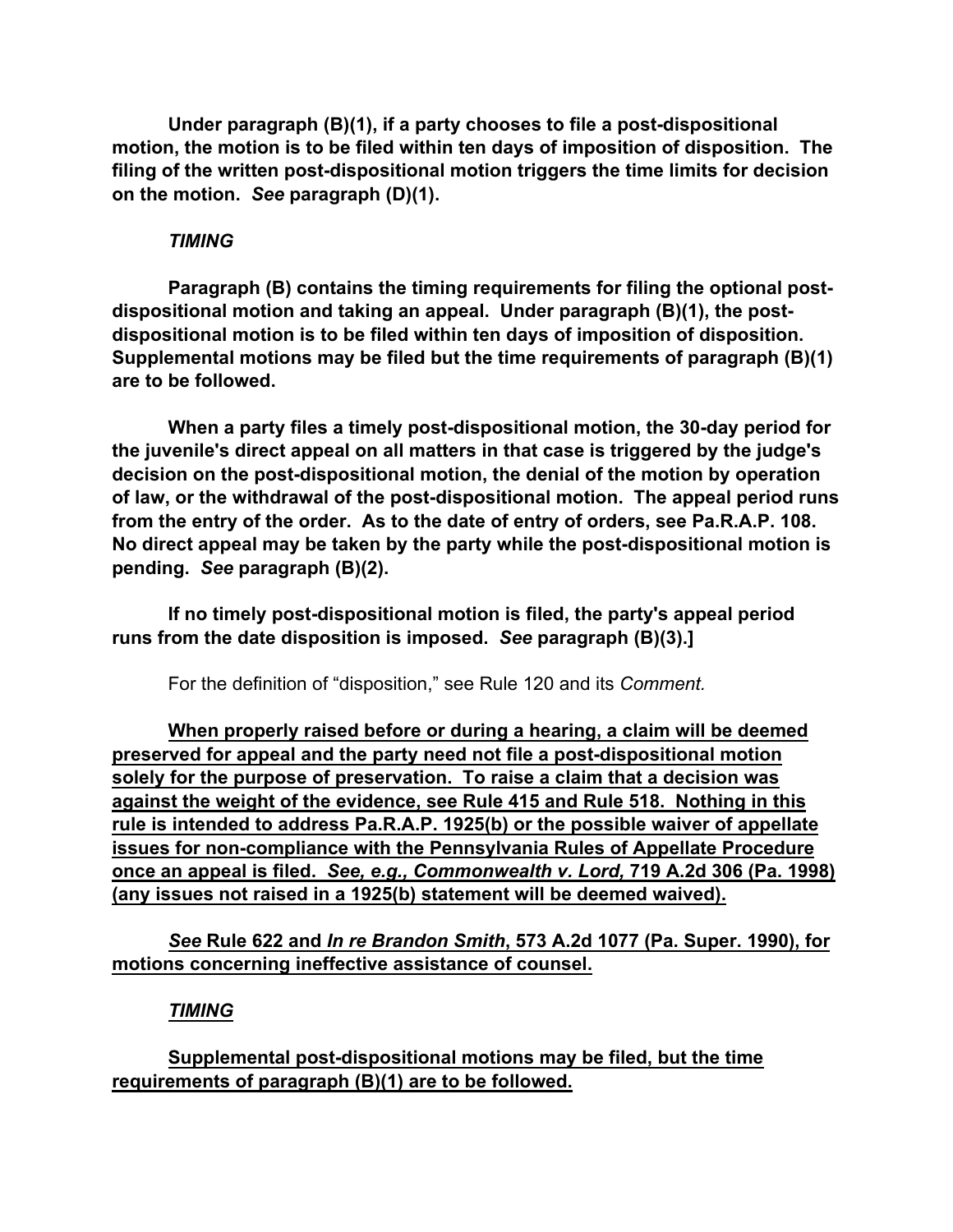**Under paragraph (B)(1), if a party chooses to file a post-dispositional motion, the motion is to be filed within ten days of imposition of disposition. The filing of the written post-dispositional motion triggers the time limits for decision on the motion.** *See* **paragraph (D)(1).**

#### *TIMING*

**Paragraph (B) contains the timing requirements for filing the optional postdispositional motion and taking an appeal. Under paragraph (B)(1), the postdispositional motion is to be filed within ten days of imposition of disposition. Supplemental motions may be filed but the time requirements of paragraph (B)(1) are to be followed.**

**When a party files a timely post-dispositional motion, the 30-day period for the juvenile's direct appeal on all matters in that case is triggered by the judge's decision on the post-dispositional motion, the denial of the motion by operation of law, or the withdrawal of the post-dispositional motion. The appeal period runs from the entry of the order. As to the date of entry of orders, see Pa.R.A.P. 108. No direct appeal may be taken by the party while the post-dispositional motion is pending.** *See* **paragraph (B)(2).** 

**If no timely post-dispositional motion is filed, the party's appeal period runs from the date disposition is imposed.** *See* **paragraph (B)(3).]** 

For the definition of "disposition," see Rule 120 and its *Comment.*

**When properly raised before or during a hearing, a claim will be deemed preserved for appeal and the party need not file a post-dispositional motion solely for the purpose of preservation. To raise a claim that a decision was against the weight of the evidence, see Rule 415 and Rule 518. Nothing in this rule is intended to address Pa.R.A.P. 1925(b) or the possible waiver of appellate issues for non-compliance with the Pennsylvania Rules of Appellate Procedure once an appeal is filed.** *See, e.g., Commonwealth v. Lord,* **719 A.2d 306 (Pa. 1998) (any issues not raised in a 1925(b) statement will be deemed waived).**

*See* **Rule 622 and** *In re Brandon Smith***, 573 A.2d 1077 (Pa. Super. 1990), for motions concerning ineffective assistance of counsel.**

# *TIMING*

**Supplemental post-dispositional motions may be filed, but the time requirements of paragraph (B)(1) are to be followed.**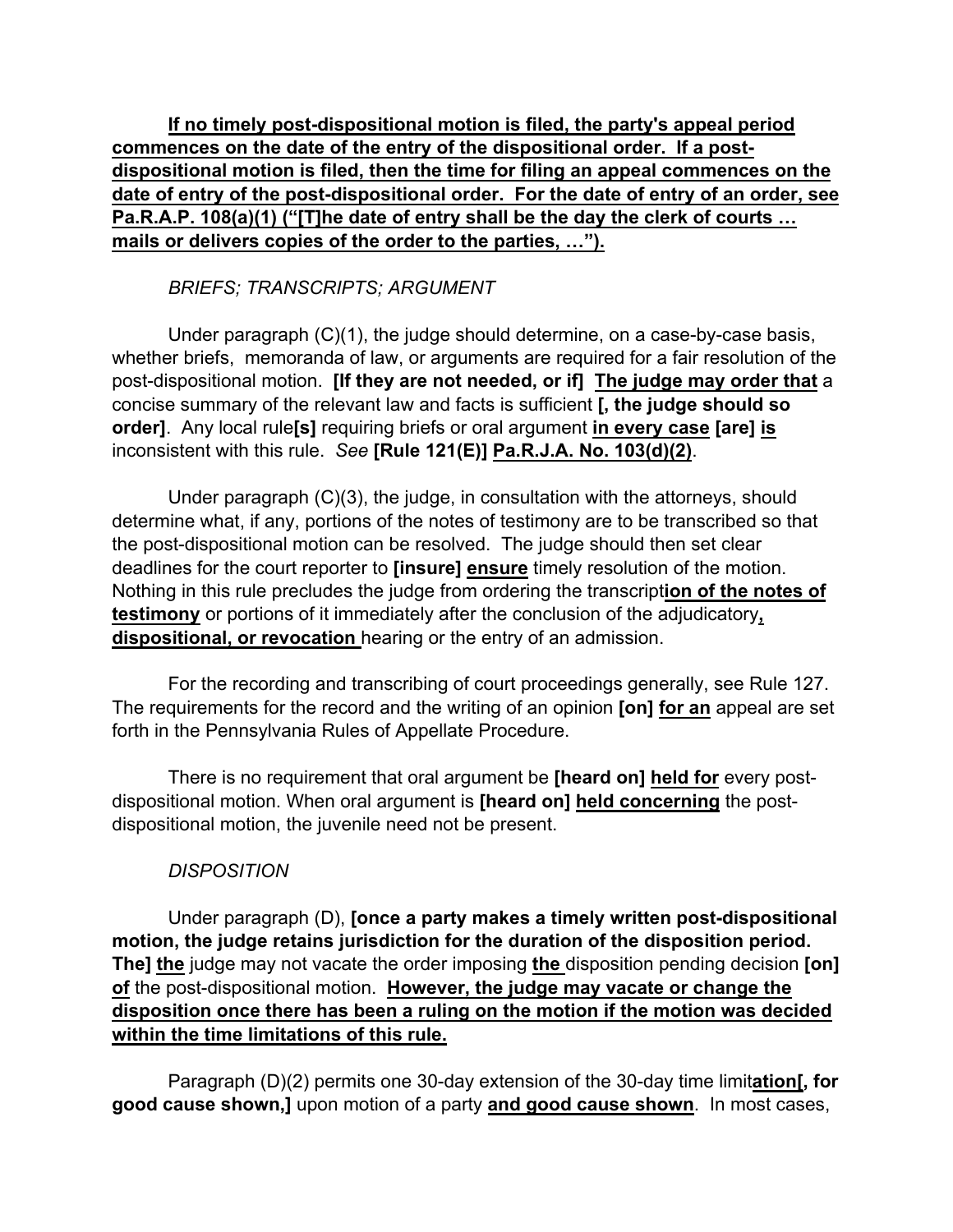**If no timely post-dispositional motion is filed, the party's appeal period commences on the date of the entry of the dispositional order. If a postdispositional motion is filed, then the time for filing an appeal commences on the date of entry of the post-dispositional order. For the date of entry of an order, see Pa.R.A.P. 108(a)(1) ("[T]he date of entry shall be the day the clerk of courts … mails or delivers copies of the order to the parties, …").**

*BRIEFS; TRANSCRIPTS; ARGUMENT*

Under paragraph (C)(1), the judge should determine, on a case-by-case basis, whether briefs, memoranda of law, or arguments are required for a fair resolution of the post-dispositional motion. **[If they are not needed, or if] The judge may order that** a concise summary of the relevant law and facts is sufficient **[, the judge should so order]**. Any local rule**[s]** requiring briefs or oral argument **in every case [are] is** inconsistent with this rule. *See* **[Rule 121(E)] Pa.R.J.A. No. 103(d)(2)**.

Under paragraph (C)(3), the judge, in consultation with the attorneys, should determine what, if any, portions of the notes of testimony are to be transcribed so that the post-dispositional motion can be resolved. The judge should then set clear deadlines for the court reporter to **[insure] ensure** timely resolution of the motion. Nothing in this rule precludes the judge from ordering the transcript**ion of the notes of testimony** or portions of it immediately after the conclusion of the adjudicatory**, dispositional, or revocation** hearing or the entry of an admission.

For the recording and transcribing of court proceedings generally, see Rule 127. The requirements for the record and the writing of an opinion **[on] for an** appeal are set forth in the Pennsylvania Rules of Appellate Procedure.

There is no requirement that oral argument be **[heard on] held for** every postdispositional motion. When oral argument is **[heard on] held concerning** the postdispositional motion, the juvenile need not be present.

# *DISPOSITION*

Under paragraph (D), **[once a party makes a timely written post-dispositional motion, the judge retains jurisdiction for the duration of the disposition period. The] the** judge may not vacate the order imposing **the** disposition pending decision **[on] of** the post-dispositional motion. **However, the judge may vacate or change the disposition once there has been a ruling on the motion if the motion was decided within the time limitations of this rule.** 

Paragraph (D)(2) permits one 30-day extension of the 30-day time limit**ation[, for good cause shown,]** upon motion of a party **and good cause shown**. In most cases,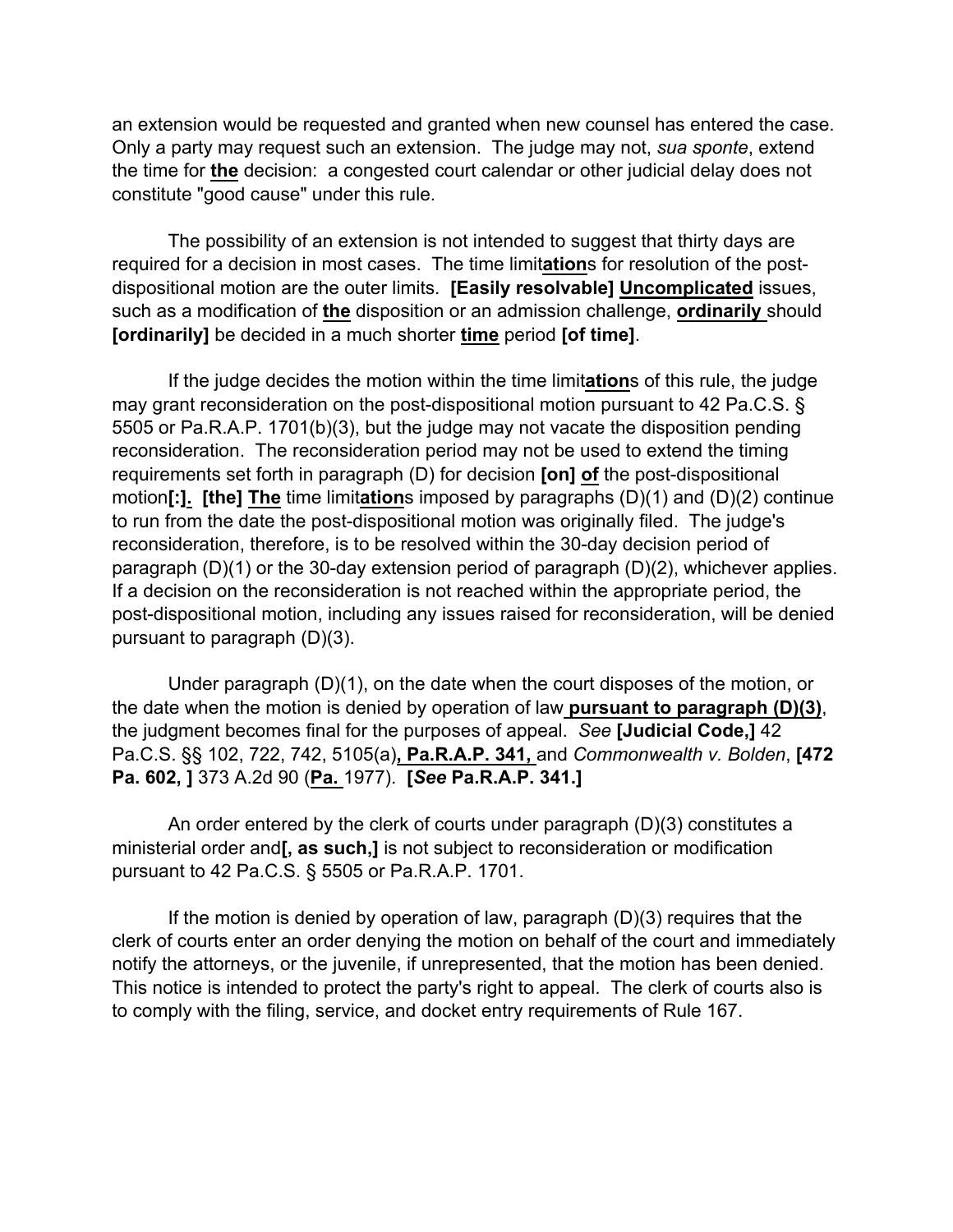an extension would be requested and granted when new counsel has entered the case. Only a party may request such an extension. The judge may not, *sua sponte*, extend the time for **the** decision: a congested court calendar or other judicial delay does not constitute "good cause" under this rule.

The possibility of an extension is not intended to suggest that thirty days are required for a decision in most cases. The time limit**ation**s for resolution of the postdispositional motion are the outer limits. **[Easily resolvable] Uncomplicated** issues, such as a modification of **the** disposition or an admission challenge, **ordinarily** should **[ordinarily]** be decided in a much shorter **time** period **[of time]**.

If the judge decides the motion within the time limit**ation**s of this rule, the judge may grant reconsideration on the post-dispositional motion pursuant to 42 Pa.C.S. § 5505 or Pa.R.A.P. 1701(b)(3), but the judge may not vacate the disposition pending reconsideration. The reconsideration period may not be used to extend the timing requirements set forth in paragraph (D) for decision **[on] of** the post-dispositional motion**[:]. [the] The** time limit**ation**s imposed by paragraphs (D)(1) and (D)(2) continue to run from the date the post-dispositional motion was originally filed. The judge's reconsideration, therefore, is to be resolved within the 30-day decision period of paragraph (D)(1) or the 30-day extension period of paragraph (D)(2), whichever applies. If a decision on the reconsideration is not reached within the appropriate period, the post-dispositional motion, including any issues raised for reconsideration, will be denied pursuant to paragraph (D)(3).

Under paragraph (D)(1), on the date when the court disposes of the motion, or the date when the motion is denied by operation of law **pursuant to paragraph (D)(3)**, the judgment becomes final for the purposes of appeal. *See* **[Judicial Code,]** 42 Pa.C.S. §§ 102, 722, 742, 5105(a)**, Pa.R.A.P. 341,** and *Commonwealth v. Bolden*, **[472 Pa. 602, ]** 373 A.2d 90 (**Pa.** 1977). **[***See* **Pa.R.A.P. 341.]**

An order entered by the clerk of courts under paragraph (D)(3) constitutes a ministerial order and**[, as such,]** is not subject to reconsideration or modification pursuant to 42 Pa.C.S. § 5505 or Pa.R.A.P. 1701.

If the motion is denied by operation of law, paragraph (D)(3) requires that the clerk of courts enter an order denying the motion on behalf of the court and immediately notify the attorneys, or the juvenile, if unrepresented, that the motion has been denied. This notice is intended to protect the party's right to appeal. The clerk of courts also is to comply with the filing, service, and docket entry requirements of Rule 167.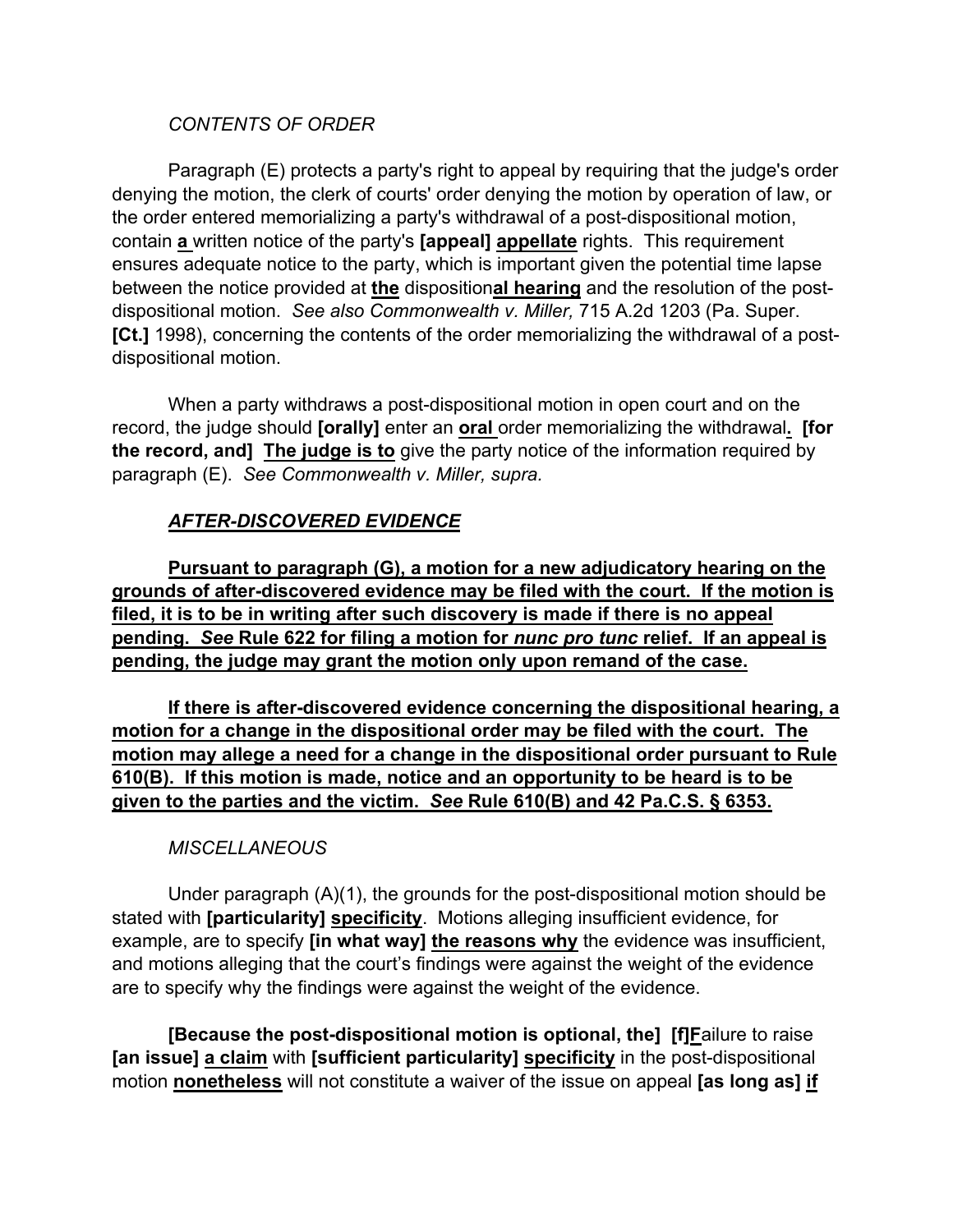### *CONTENTS OF ORDER*

Paragraph (E) protects a party's right to appeal by requiring that the judge's order denying the motion, the clerk of courts' order denying the motion by operation of law, or the order entered memorializing a party's withdrawal of a post-dispositional motion, contain **a** written notice of the party's **[appeal] appellate** rights. This requirement ensures adequate notice to the party, which is important given the potential time lapse between the notice provided at **the** disposition**al hearing** and the resolution of the postdispositional motion. *See also Commonwealth v. Miller,* 715 A.2d 1203 (Pa. Super. **[Ct.]** 1998), concerning the contents of the order memorializing the withdrawal of a postdispositional motion.

When a party withdraws a post-dispositional motion in open court and on the record, the judge should **[orally]** enter an **oral** order memorializing the withdrawal**. [for the record, and] The judge is to** give the party notice of the information required by paragraph (E). *See Commonwealth v. Miller, supra.*

# *AFTER-DISCOVERED EVIDENCE*

**Pursuant to paragraph (G), a motion for a new adjudicatory hearing on the grounds of after-discovered evidence may be filed with the court. If the motion is filed, it is to be in writing after such discovery is made if there is no appeal pending.** *See* **Rule 622 for filing a motion for** *nunc pro tunc* **relief. If an appeal is pending, the judge may grant the motion only upon remand of the case.**

**If there is after-discovered evidence concerning the dispositional hearing, a motion for a change in the dispositional order may be filed with the court. The motion may allege a need for a change in the dispositional order pursuant to Rule 610(B). If this motion is made, notice and an opportunity to be heard is to be given to the parties and the victim.** *See* **Rule 610(B) and 42 Pa.C.S. § 6353.** 

# *MISCELLANEOUS*

Under paragraph (A)(1), the grounds for the post-dispositional motion should be stated with **[particularity] specificity**. Motions alleging insufficient evidence, for example, are to specify **[in what way] the reasons why** the evidence was insufficient, and motions alleging that the court's findings were against the weight of the evidence are to specify why the findings were against the weight of the evidence.

**[Because the post-dispositional motion is optional, the] [f]F**ailure to raise **[an issue] a claim** with **[sufficient particularity] specificity** in the post-dispositional motion **nonetheless** will not constitute a waiver of the issue on appeal **[as long as] if**